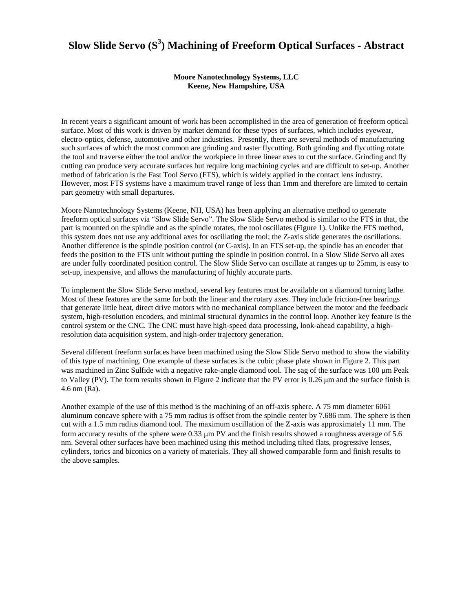## **Slow Slide Servo (S<sup>3</sup> ) Machining of Freeform Optical Surfaces - Abstract**

**Moore Nanotechnology Systems, LLC Keene, New Hampshire, USA** 

In recent years a significant amount of work has been accomplished in the area of generation of freeform optical surface. Most of this work is driven by market demand for these types of surfaces, which includes eyewear, electro-optics, defense, automotive and other industries. Presently, there are several methods of manufacturing such surfaces of which the most common are grinding and raster flycutting. Both grinding and flycutting rotate the tool and traverse either the tool and/or the workpiece in three linear axes to cut the surface. Grinding and fly cutting can produce very accurate surfaces but require long machining cycles and are difficult to set-up. Another method of fabrication is the Fast Tool Servo (FTS), which is widely applied in the contact lens industry. However, most FTS systems have a maximum travel range of less than 1mm and therefore are limited to certain part geometry with small departures.

Moore Nanotechnology Systems (Keene, NH, USA) has been applying an alternative method to generate freeform optical surfaces via "Slow Slide Servo". The Slow Slide Servo method is similar to the FTS in that, the part is mounted on the spindle and as the spindle rotates, the tool oscillates (Figure 1). Unlike the FTS method, this system does not use any additional axes for oscillating the tool; the Z-axis slide generates the oscillations. Another difference is the spindle position control (or C-axis). In an FTS set-up, the spindle has an encoder that feeds the position to the FTS unit without putting the spindle in position control. In a Slow Slide Servo all axes are under fully coordinated position control. The Slow Slide Servo can oscillate at ranges up to 25mm, is easy to set-up, inexpensive, and allows the manufacturing of highly accurate parts.

To implement the Slow Slide Servo method, several key features must be available on a diamond turning lathe. Most of these features are the same for both the linear and the rotary axes. They include friction-free bearings that generate little heat, direct drive motors with no mechanical compliance between the motor and the feedback system, high-resolution encoders, and minimal structural dynamics in the control loop. Another key feature is the control system or the CNC. The CNC must have high-speed data processing, look-ahead capability, a highresolution data acquisition system, and high-order trajectory generation.

Several different freeform surfaces have been machined using the Slow Slide Servo method to show the viability of this type of machining. One example of these surfaces is the cubic phase plate shown in Figure 2. This part was machined in Zinc Sulfide with a negative rake-angle diamond tool. The sag of the surface was 100  $\mu$ m Peak to Valley (PV). The form results shown in Figure 2 indicate that the PV error is  $0.26 \mu m$  and the surface finish is 4.6 nm (Ra).

Another example of the use of this method is the machining of an off-axis sphere. A 75 mm diameter 6061 aluminum concave sphere with a 75 mm radius is offset from the spindle center by 7.686 mm. The sphere is then cut with a 1.5 mm radius diamond tool. The maximum oscillation of the Z-axis was approximately 11 mm. The form accuracy results of the sphere were 0.33 µm PV and the finish results showed a roughness average of 5.6 nm. Several other surfaces have been machined using this method including tilted flats, progressive lenses, cylinders, torics and biconics on a variety of materials. They all showed comparable form and finish results to the above samples.